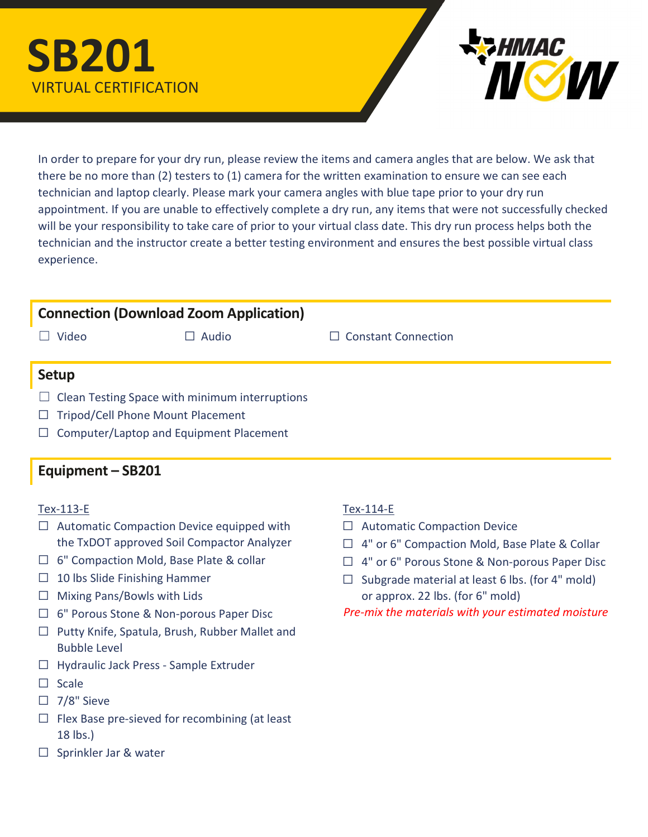# SB201 VIRTUAL CERTIFICATION



In order to prepare for your dry run, please review the items and camera angles that are below. We ask that there be no more than (2) testers to (1) camera for the written examination to ensure we can see each technician and laptop clearly. Please mark your camera angles with blue tape prior to your dry run appointment. If you are unable to effectively complete a dry run, any items that were not successfully checked will be your responsibility to take care of prior to your virtual class date. This dry run process helps both the technician and the instructor create a better testing environment and ensures the best possible virtual class experience.

# Connection (Download Zoom Application)

☐ Video ☐ Audio ☐ Constant Connection

#### Setup

- $\Box$  Clean Testing Space with minimum interruptions
- ☐ Tripod/Cell Phone Mount Placement
- ☐ Computer/Laptop and Equipment Placement

## Equipment – SB201

#### Tex-113-E

- $\Box$  Automatic Compaction Device equipped with the TxDOT approved Soil Compactor Analyzer
- □ 6" Compaction Mold, Base Plate & collar
- $\Box$  10 lbs Slide Finishing Hammer
- $\Box$  Mixing Pans/Bowls with Lids
- ☐ 6" Porous Stone & Non-porous Paper Disc
- ☐ Putty Knife, Spatula, Brush, Rubber Mallet and Bubble Level
- ☐ Hydraulic Jack Press Sample Extruder
- ☐ Scale
- ☐ 7/8" Sieve
- $\Box$  Flex Base pre-sieved for recombining (at least 18 lbs.)
- □ Sprinkler Jar & water

### Tex-114-E

- ☐ Automatic Compaction Device
- □ 4" or 6" Compaction Mold, Base Plate & Collar
- ☐ 4" or 6" Porous Stone & Non-porous Paper Disc
- $\Box$  Subgrade material at least 6 lbs. (for 4" mold) or approx. 22 lbs. (for 6" mold)

Pre-mix the materials with your estimated moisture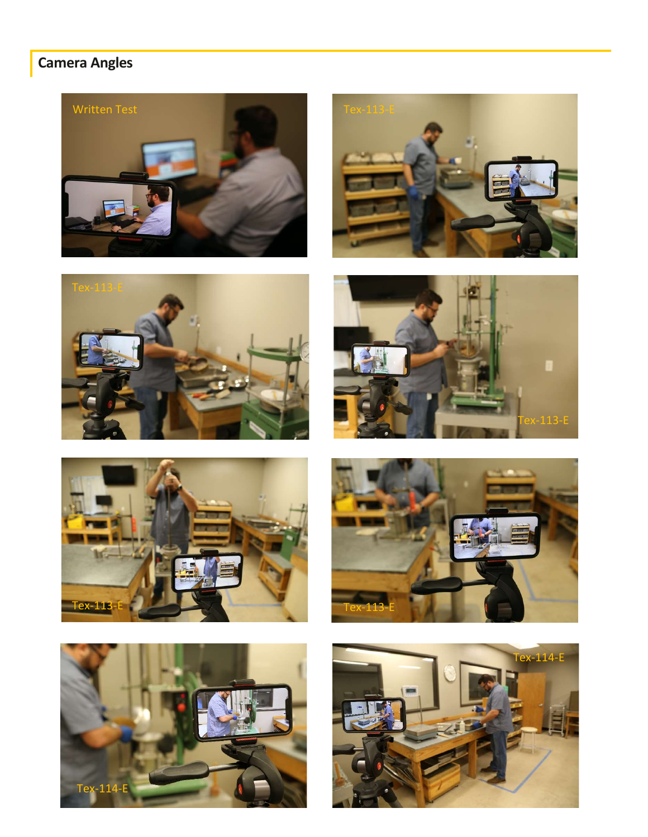# Camera Angles